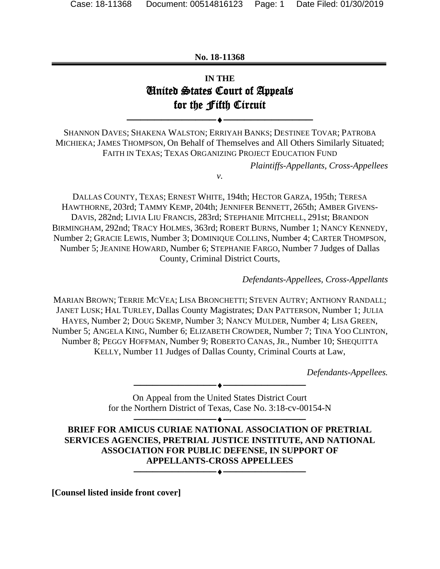#### **No. 18-11368**

## **IN THE**  United States Court of Appeals for the Fifth Circuit

SHANNON DAVES; SHAKENA WALSTON; ERRIYAH BANKS; DESTINEE TOVAR; PATROBA MICHIEKA; JAMES THOMPSON, On Behalf of Themselves and All Others Similarly Situated; FAITH IN TEXAS; TEXAS ORGANIZING PROJECT EDUCATION FUND

*v.* 

──────────────────────────

*Plaintiffs-Appellants, Cross-Appellees*

DALLAS COUNTY, TEXAS; ERNEST WHITE, 194th; HECTOR GARZA, 195th; TERESA HAWTHORNE, 203rd; TAMMY KEMP, 204th; JENNIFER BENNETT, 265th; AMBER GIVENS-DAVIS, 282nd; LIVIA LIU FRANCIS, 283rd; STEPHANIE MITCHELL, 291st; BRANDON BIRMINGHAM, 292nd; TRACY HOLMES, 363rd; ROBERT BURNS, Number 1; NANCY KENNEDY, Number 2; GRACIE LEWIS, Number 3; DOMINIQUE COLLINS, Number 4; CARTER THOMPSON, Number 5; JEANINE HOWARD, Number 6; STEPHANIE FARGO, Number 7 Judges of Dallas County, Criminal District Courts,

*Defendants-Appellees, Cross-Appellants*

MARIAN BROWN; TERRIE MCVEA; LISA BRONCHETTI; STEVEN AUTRY; ANTHONY RANDALL; JANET LUSK; HAL TURLEY, Dallas County Magistrates; DAN PATTERSON, Number 1; JULIA HAYES, Number 2; DOUG SKEMP, Number 3; NANCY MULDER, Number 4; LISA GREEN, Number 5; ANGELA KING, Number 6; ELIZABETH CROWDER, Number 7; TINA YOO CLINTON, Number 8; PEGGY HOFFMAN, Number 9; ROBERTO CANAS, JR., Number 10; SHEQUITTA KELLY, Number 11 Judges of Dallas County, Criminal Courts at Law,

*Defendants-Appellees.*

On Appeal from the United States District Court for the Northern District of Texas, Case No. 3:18-cv-00154-N

──────────────────────────

────────────────────────── **BRIEF FOR AMICUS CURIAE NATIONAL ASSOCIATION OF PRETRIAL SERVICES AGENCIES, PRETRIAL JUSTICE INSTITUTE, AND NATIONAL ASSOCIATION FOR PUBLIC DEFENSE, IN SUPPORT OF APPELLANTS-CROSS APPELLEES** ──────────────────────────

**[Counsel listed inside front cover]**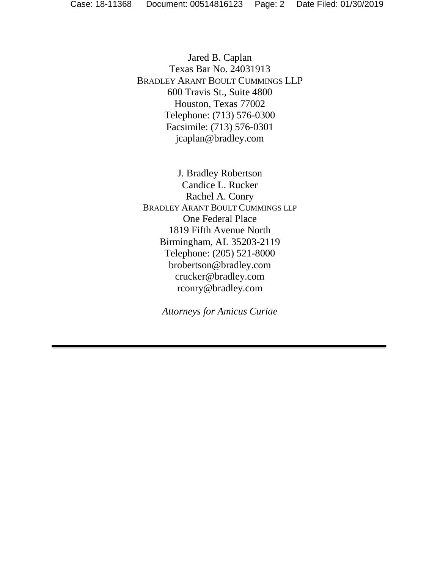Jared B. Caplan Texas Bar No. 24031913 BRADLEY ARANT BOULT CUMMINGS LLP 600 Travis St., Suite 4800 Houston, Texas 77002 Telephone: (713) 576-0300 Facsimile: (713) 576-0301 jcaplan@bradley.com

J. Bradley Robertson Candice L. Rucker Rachel A. Conry BRADLEY ARANT BOULT CUMMINGS LLP One Federal Place 1819 Fifth Avenue North Birmingham, AL 35203-2119 Telephone: (205) 521-8000 brobertson@bradley.com crucker@bradley.com rconry@bradley.com

*Attorneys for Amicus Curiae*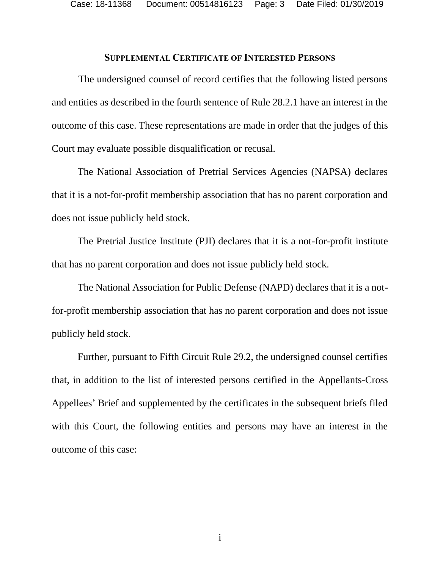#### <span id="page-2-0"></span>**SUPPLEMENTAL CERTIFICATE OF INTERESTED PERSONS**

The undersigned counsel of record certifies that the following listed persons and entities as described in the fourth sentence of Rule 28.2.1 have an interest in the outcome of this case. These representations are made in order that the judges of this Court may evaluate possible disqualification or recusal.

The National Association of Pretrial Services Agencies (NAPSA) declares that it is a not-for-profit membership association that has no parent corporation and does not issue publicly held stock.

The Pretrial Justice Institute (PJI) declares that it is a not-for-profit institute that has no parent corporation and does not issue publicly held stock.

The National Association for Public Defense (NAPD) declares that it is a notfor-profit membership association that has no parent corporation and does not issue publicly held stock.

<span id="page-2-1"></span>Further, pursuant to Fifth Circuit Rule 29.2, the undersigned counsel certifies that, in addition to the list of interested persons certified in the Appellants-Cross Appellees' Brief and supplemented by the certificates in the subsequent briefs filed with this Court, the following entities and persons may have an interest in the outcome of this case: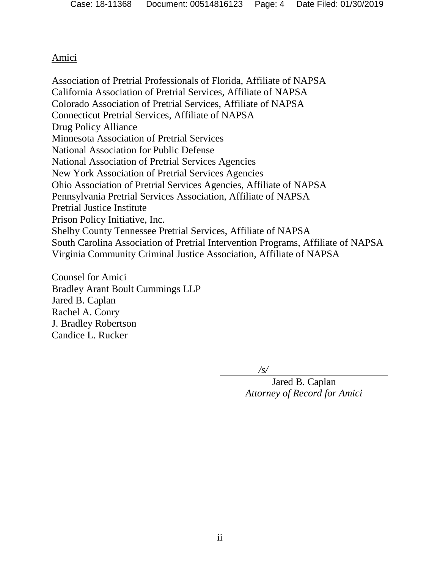### Amici

Association of Pretrial Professionals of Florida, Affiliate of NAPSA California Association of Pretrial Services, Affiliate of NAPSA Colorado Association of Pretrial Services, Affiliate of NAPSA Connecticut Pretrial Services, Affiliate of NAPSA Drug Policy Alliance Minnesota Association of Pretrial Services National Association for Public Defense National Association of Pretrial Services Agencies New York Association of Pretrial Services Agencies Ohio Association of Pretrial Services Agencies, Affiliate of NAPSA Pennsylvania Pretrial Services Association, Affiliate of NAPSA Pretrial Justice Institute Prison Policy Initiative, Inc. Shelby County Tennessee Pretrial Services, Affiliate of NAPSA South Carolina Association of Pretrial Intervention Programs, Affiliate of NAPSA Virginia Community Criminal Justice Association, Affiliate of NAPSA

Counsel for Amici Bradley Arant Boult Cummings LLP Jared B. Caplan Rachel A. Conry J. Bradley Robertson Candice L. Rucker

*/s/*

Jared B. Caplan *Attorney of Record for Amici*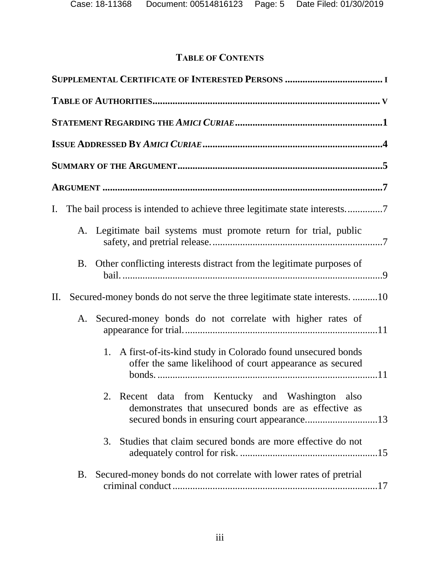# **TABLE OF CONTENTS**

| Ι.                                                                                                                            |
|-------------------------------------------------------------------------------------------------------------------------------|
| A. Legitimate bail systems must promote return for trial, public                                                              |
| Other conflicting interests distract from the legitimate purposes of<br><b>B.</b>                                             |
| Secured-money bonds do not serve the three legitimate state interests. 10<br>$\prod$ .                                        |
| Secured-money bonds do not correlate with higher rates of<br>A.                                                               |
| A first-of-its-kind study in Colorado found unsecured bonds<br>1.<br>offer the same likelihood of court appearance as secured |
| 2. Recent data from Kentucky and Washington also<br>demonstrates that unsecured bonds are as effective as                     |
| Studies that claim secured bonds are more effective do not<br>3.                                                              |
| Secured-money bonds do not correlate with lower rates of pretrial<br><b>B.</b>                                                |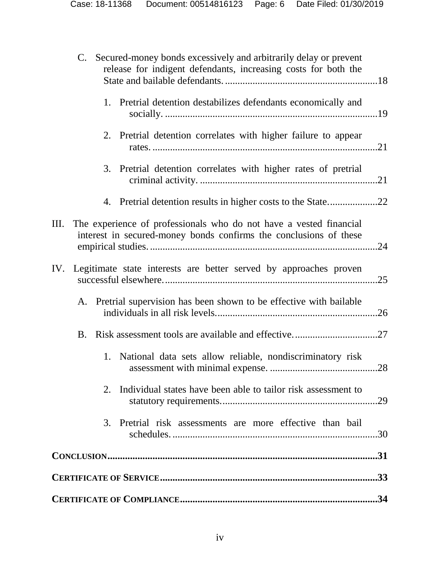| C. Secured-money bonds excessively and arbitrarily delay or prevent<br>release for indigent defendants, increasing costs for both the         |     |
|-----------------------------------------------------------------------------------------------------------------------------------------------|-----|
| 1. Pretrial detention destabilizes defendants economically and                                                                                |     |
| 2. Pretrial detention correlates with higher failure to appear                                                                                |     |
| 3.<br>Pretrial detention correlates with higher rates of pretrial                                                                             |     |
| 4. Pretrial detention results in higher costs to the State22                                                                                  |     |
| The experience of professionals who do not have a vested financial<br>Ш.<br>interest in secured-money bonds confirms the conclusions of these | .24 |
| IV.<br>Legitimate state interests are better served by approaches proven                                                                      | .25 |
| A. Pretrial supervision has been shown to be effective with bailable                                                                          | .26 |
| B.                                                                                                                                            |     |
| National data sets allow reliable, nondiscriminatory risk<br>1.                                                                               |     |
| Individual states have been able to tailor risk assessment to<br>2.                                                                           |     |
| Pretrial risk assessments are more effective than bail<br>3.                                                                                  |     |
|                                                                                                                                               |     |
|                                                                                                                                               |     |
|                                                                                                                                               |     |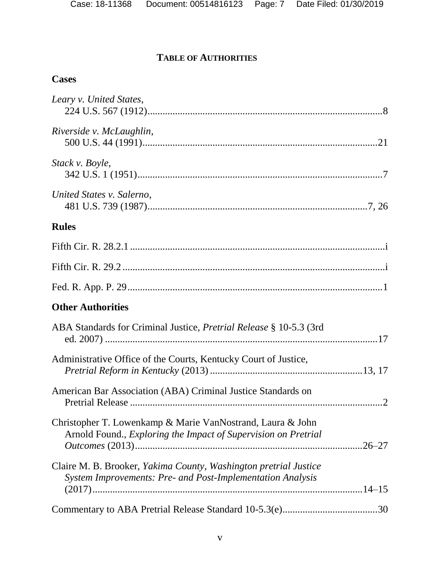# **TABLE OF AUTHORITIES**

## **Cases**

| Leary v. United States,                                                                                                        |
|--------------------------------------------------------------------------------------------------------------------------------|
| Riverside v. McLaughlin,                                                                                                       |
| Stack v. Boyle,                                                                                                                |
| United States v. Salerno,                                                                                                      |
| <b>Rules</b>                                                                                                                   |
|                                                                                                                                |
|                                                                                                                                |
|                                                                                                                                |
| <b>Other Authorities</b>                                                                                                       |
| ABA Standards for Criminal Justice, <i>Pretrial Release</i> § 10-5.3 (3rd                                                      |
| Administrative Office of the Courts, Kentucky Court of Justice,                                                                |
| American Bar Association (ABA) Criminal Justice Standards on                                                                   |
| Christopher T. Lowenkamp & Marie VanNostrand, Laura & John<br>Arnold Found., Exploring the Impact of Supervision on Pretrial   |
| Claire M. B. Brooker, Yakima County, Washington pretrial Justice<br>System Improvements: Pre- and Post-Implementation Analysis |
|                                                                                                                                |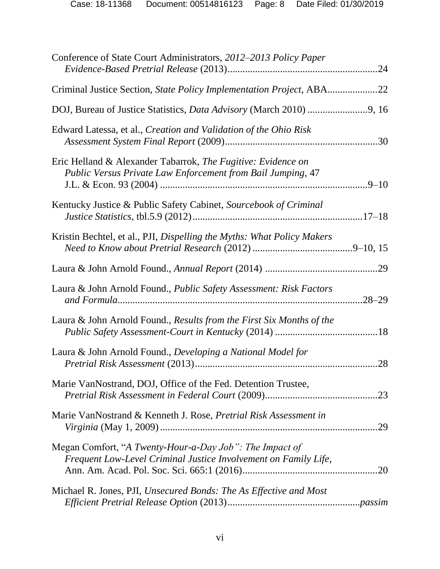| Conference of State Court Administrators, 2012–2013 Policy Paper                                                            |            |
|-----------------------------------------------------------------------------------------------------------------------------|------------|
| Criminal Justice Section, State Policy Implementation Project, ABA22                                                        |            |
|                                                                                                                             |            |
| Edward Latessa, et al., Creation and Validation of the Ohio Risk                                                            |            |
| Eric Helland & Alexander Tabarrok, The Fugitive: Evidence on<br>Public Versus Private Law Enforcement from Bail Jumping, 47 | $.9 - 10$  |
| Kentucky Justice & Public Safety Cabinet, Sourcebook of Criminal                                                            |            |
| Kristin Bechtel, et al., PJI, Dispelling the Myths: What Policy Makers                                                      |            |
|                                                                                                                             |            |
| Laura & John Arnold Found., Public Safety Assessment: Risk Factors                                                          | $.28 - 29$ |
| Laura & John Arnold Found., Results from the First Six Months of the                                                        |            |
| Laura & John Arnold Found., Developing a National Model for                                                                 | .28        |
| Marie VanNostrand, DOJ, Office of the Fed. Detention Trustee,                                                               |            |
| Marie VanNostrand & Kenneth J. Rose, Pretrial Risk Assessment in                                                            | .29        |
| Megan Comfort, "A Twenty-Hour-a-Day Job": The Impact of<br>Frequent Low-Level Criminal Justice Involvement on Family Life,  |            |
| Michael R. Jones, PJI, Unsecured Bonds: The As Effective and Most                                                           |            |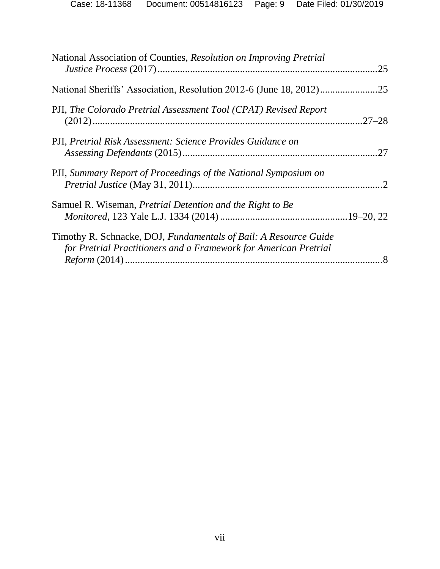| National Association of Counties, Resolution on Improving Pretrial                                                                   | .25 |
|--------------------------------------------------------------------------------------------------------------------------------------|-----|
|                                                                                                                                      |     |
| PJI, The Colorado Pretrial Assessment Tool (CPAT) Revised Report                                                                     |     |
| PJI, Pretrial Risk Assessment: Science Provides Guidance on                                                                          |     |
| PJI, Summary Report of Proceedings of the National Symposium on                                                                      |     |
| Samuel R. Wiseman, <i>Pretrial Detention and the Right to Be</i>                                                                     |     |
| Timothy R. Schnacke, DOJ, Fundamentals of Bail: A Resource Guide<br>for Pretrial Practitioners and a Framework for American Pretrial |     |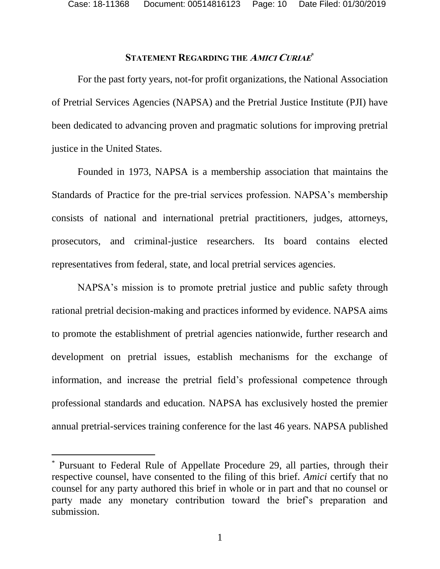### **STATEMENT REGARDING THE AMICI CURIAE \***

For the past forty years, not-for profit organizations, the National Association of Pretrial Services Agencies (NAPSA) and the Pretrial Justice Institute (PJI) have been dedicated to advancing proven and pragmatic solutions for improving pretrial justice in the United States.

Founded in 1973, NAPSA is a membership association that maintains the Standards of Practice for the pre-trial services profession. NAPSA's membership consists of national and international pretrial practitioners, judges, attorneys, prosecutors, and criminal-justice researchers. Its board contains elected representatives from federal, state, and local pretrial services agencies.

NAPSA's mission is to promote pretrial justice and public safety through rational pretrial decision-making and practices informed by evidence. NAPSA aims to promote the establishment of pretrial agencies nationwide, further research and development on pretrial issues, establish mechanisms for the exchange of information, and increase the pretrial field's professional competence through professional standards and education. NAPSA has exclusively hosted the premier annual pretrial-services training conference for the last 46 years. NAPSA published

<span id="page-9-0"></span> $\overline{a}$ 

<sup>\*</sup> Pursuant to Federal Rule of Appellate Procedure 29, all parties, through their respective counsel, have consented to the filing of this brief. *Amici* certify that no counsel for any party authored this brief in whole or in part and that no counsel or party made any monetary contribution toward the brief's preparation and submission.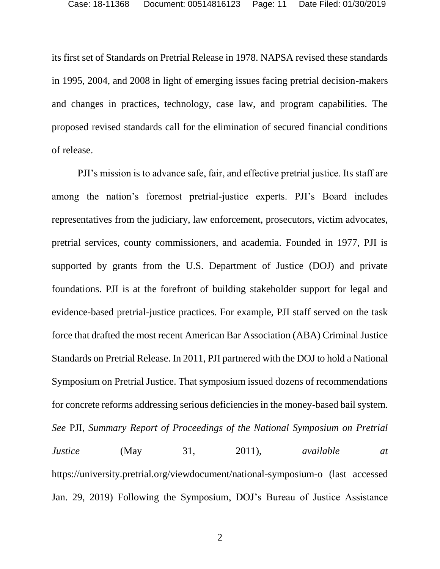its first set of Standards on Pretrial Release in 1978. NAPSA revised these standards in 1995, 2004, and 2008 in light of emerging issues facing pretrial decision-makers and changes in practices, technology, case law, and program capabilities. The proposed revised standards call for the elimination of secured financial conditions of release.

<span id="page-10-1"></span><span id="page-10-0"></span>PJI's mission is to advance safe, fair, and effective pretrial justice. Its staff are among the nation's foremost pretrial-justice experts. PJI's Board includes representatives from the judiciary, law enforcement, prosecutors, victim advocates, pretrial services, county commissioners, and academia. Founded in 1977, PJI is supported by grants from the U.S. Department of Justice (DOJ) and private foundations. PJI is at the forefront of building stakeholder support for legal and evidence-based pretrial-justice practices. For example, PJI staff served on the task force that drafted the most recent American Bar Association (ABA) Criminal Justice Standards on Pretrial Release. In 2011, PJI partnered with the DOJ to hold a National Symposium on Pretrial Justice. That symposium issued dozens of recommendations for concrete reforms addressing serious deficiencies in the money-based bail system. *See* PJI, *Summary Report of Proceedings of the National Symposium on Pretrial Justice* (May 31, 2011), *available at* https://university.pretrial.org/viewdocument/national-symposium-o (last accessed Jan. 29, 2019) Following the Symposium, DOJ's Bureau of Justice Assistance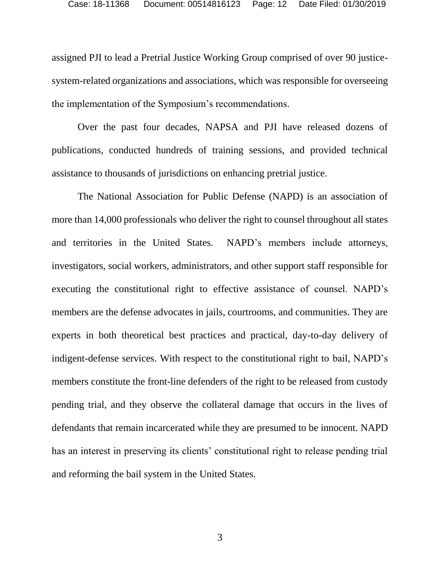assigned PJI to lead a Pretrial Justice Working Group comprised of over 90 justicesystem-related organizations and associations, which was responsible for overseeing the implementation of the Symposium's recommendations.

Over the past four decades, NAPSA and PJI have released dozens of publications, conducted hundreds of training sessions, and provided technical assistance to thousands of jurisdictions on enhancing pretrial justice.

The National Association for Public Defense (NAPD) is an association of more than 14,000 professionals who deliver the right to counsel throughout all states and territories in the United States. NAPD's members include attorneys, investigators, social workers, administrators, and other support staff responsible for executing the constitutional right to effective assistance of counsel. NAPD's members are the defense advocates in jails, courtrooms, and communities. They are experts in both theoretical best practices and practical, day-to-day delivery of indigent-defense services. With respect to the constitutional right to bail, NAPD's members constitute the front-line defenders of the right to be released from custody pending trial, and they observe the collateral damage that occurs in the lives of defendants that remain incarcerated while they are presumed to be innocent. NAPD has an interest in preserving its clients' constitutional right to release pending trial and reforming the bail system in the United States.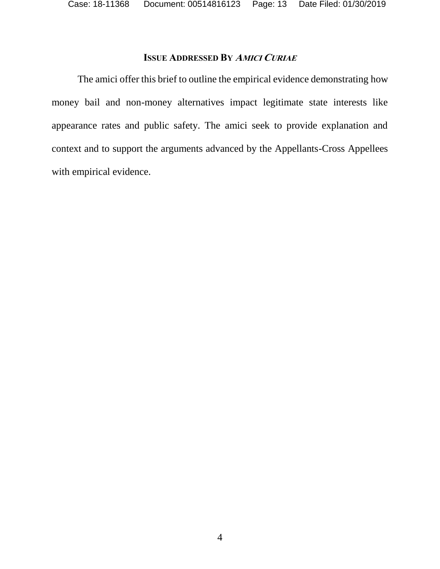Case: 18-11368 Document: 00514816123 Page: 13 Date Filed: 01/30/2019

### **ISSUE ADDRESSED BY AMICI CURIAE**

The amici offer this brief to outline the empirical evidence demonstrating how money bail and non-money alternatives impact legitimate state interests like appearance rates and public safety. The amici seek to provide explanation and context and to support the arguments advanced by the Appellants-Cross Appellees with empirical evidence.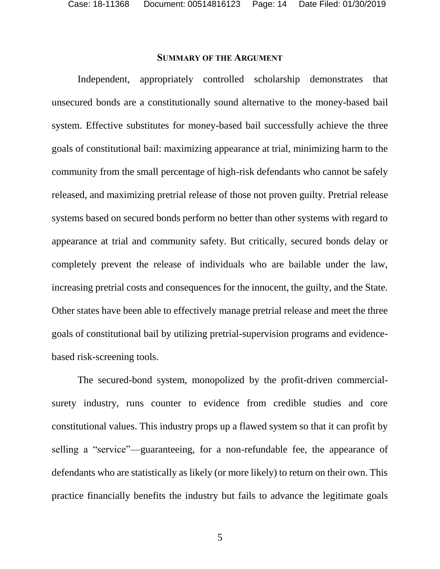Case: 18-11368 Document: 00514816123 Page: 14 Date Filed: 01/30/2019

#### **SUMMARY OF THE ARGUMENT**

Independent, appropriately controlled scholarship demonstrates that unsecured bonds are a constitutionally sound alternative to the money-based bail system. Effective substitutes for money-based bail successfully achieve the three goals of constitutional bail: maximizing appearance at trial, minimizing harm to the community from the small percentage of high-risk defendants who cannot be safely released, and maximizing pretrial release of those not proven guilty. Pretrial release systems based on secured bonds perform no better than other systems with regard to appearance at trial and community safety. But critically, secured bonds delay or completely prevent the release of individuals who are bailable under the law, increasing pretrial costs and consequences for the innocent, the guilty, and the State. Other states have been able to effectively manage pretrial release and meet the three goals of constitutional bail by utilizing pretrial-supervision programs and evidencebased risk-screening tools.

The secured-bond system, monopolized by the profit-driven commercialsurety industry, runs counter to evidence from credible studies and core constitutional values. This industry props up a flawed system so that it can profit by selling a "service"—guaranteeing, for a non-refundable fee, the appearance of defendants who are statistically as likely (or more likely) to return on their own. This practice financially benefits the industry but fails to advance the legitimate goals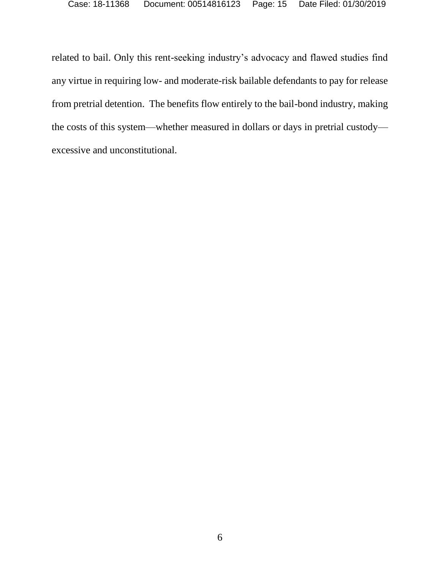related to bail. Only this rent-seeking industry's advocacy and flawed studies find any virtue in requiring low- and moderate-risk bailable defendants to pay for release from pretrial detention. The benefits flow entirely to the bail-bond industry, making the costs of this system—whether measured in dollars or days in pretrial custody excessive and unconstitutional.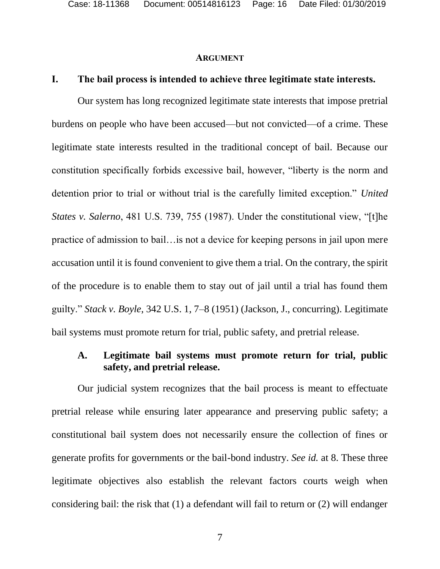#### <span id="page-15-1"></span>**ARGUMENT**

#### **I. The bail process is intended to achieve three legitimate state interests.**

Our system has long recognized legitimate state interests that impose pretrial burdens on people who have been accused—but not convicted—of a crime. These legitimate state interests resulted in the traditional concept of bail. Because our constitution specifically forbids excessive bail, however, "liberty is the norm and detention prior to trial or without trial is the carefully limited exception." *United States v. Salerno*, 481 U.S. 739, 755 (1987). Under the constitutional view, "[t]he practice of admission to bail…is not a device for keeping persons in jail upon mere accusation until it is found convenient to give them a trial. On the contrary, the spirit of the procedure is to enable them to stay out of jail until a trial has found them guilty." *Stack v. Boyle*, 342 U.S. 1, 7–8 (1951) (Jackson, J., concurring). Legitimate bail systems must promote return for trial, public safety, and pretrial release.

### <span id="page-15-0"></span>**A. Legitimate bail systems must promote return for trial, public safety, and pretrial release.**

Our judicial system recognizes that the bail process is meant to effectuate pretrial release while ensuring later appearance and preserving public safety; a constitutional bail system does not necessarily ensure the collection of fines or generate profits for governments or the bail-bond industry. *See id.* at 8. These three legitimate objectives also establish the relevant factors courts weigh when considering bail: the risk that (1) a defendant will fail to return or (2) will endanger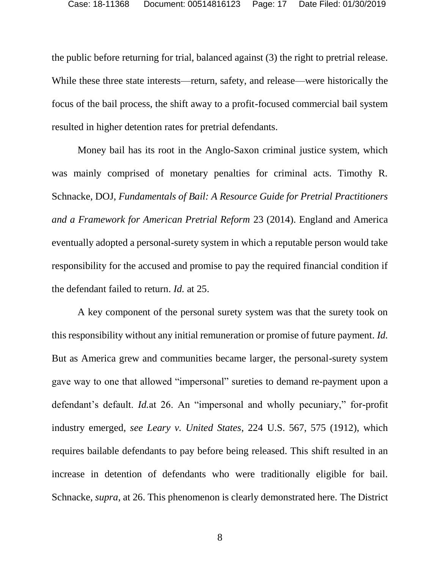the public before returning for trial, balanced against (3) the right to pretrial release. While these three state interests—return, safety, and release—were historically the focus of the bail process, the shift away to a profit-focused commercial bail system resulted in higher detention rates for pretrial defendants.

<span id="page-16-1"></span>Money bail has its root in the Anglo-Saxon criminal justice system, which was mainly comprised of monetary penalties for criminal acts. Timothy R. Schnacke, DOJ, *Fundamentals of Bail: A Resource Guide for Pretrial Practitioners and a Framework for American Pretrial Reform* 23 (2014). England and America eventually adopted a personal-surety system in which a reputable person would take responsibility for the accused and promise to pay the required financial condition if the defendant failed to return. *Id.* at 25.

<span id="page-16-0"></span>A key component of the personal surety system was that the surety took on this responsibility without any initial remuneration or promise of future payment. *Id.* But as America grew and communities became larger, the personal-surety system gave way to one that allowed "impersonal" sureties to demand re-payment upon a defendant's default. *Id.*at 26. An "impersonal and wholly pecuniary," for-profit industry emerged, *see Leary v. United States*, 224 U.S. 567, 575 (1912), which requires bailable defendants to pay before being released. This shift resulted in an increase in detention of defendants who were traditionally eligible for bail. Schnacke, *supra*, at 26. This phenomenon is clearly demonstrated here. The District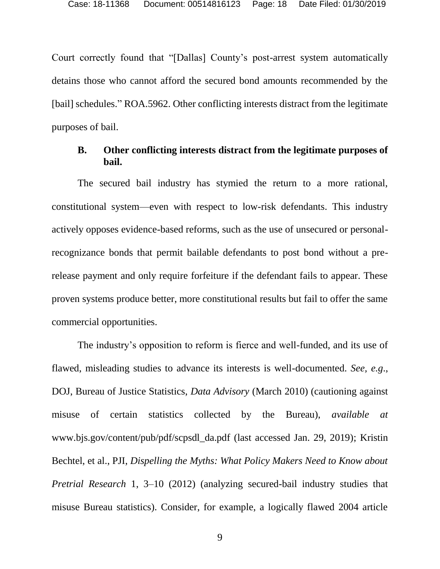Court correctly found that "[Dallas] County's post-arrest system automatically detains those who cannot afford the secured bond amounts recommended by the [bail] schedules." ROA.5962. Other conflicting interests distract from the legitimate purposes of bail.

#### **B. Other conflicting interests distract from the legitimate purposes of bail.**

The secured bail industry has stymied the return to a more rational, constitutional system—even with respect to low-risk defendants. This industry actively opposes evidence-based reforms, such as the use of unsecured or personalrecognizance bonds that permit bailable defendants to post bond without a prerelease payment and only require forfeiture if the defendant fails to appear. These proven systems produce better, more constitutional results but fail to offer the same commercial opportunities.

<span id="page-17-1"></span><span id="page-17-0"></span>The industry's opposition to reform is fierce and well-funded, and its use of flawed, misleading studies to advance its interests is well-documented. *See, e.g*., DOJ, Bureau of Justice Statistics, *Data Advisory* (March 2010) (cautioning against misuse of certain statistics collected by the Bureau), *available at*  www.bjs.gov/content/pub/pdf/scpsdl\_da.pdf (last accessed Jan. 29, 2019); Kristin Bechtel, et al., PJI, *Dispelling the Myths: What Policy Makers Need to Know about Pretrial Research* 1, 3–10 (2012) (analyzing secured-bail industry studies that misuse Bureau statistics). Consider, for example, a logically flawed 2004 article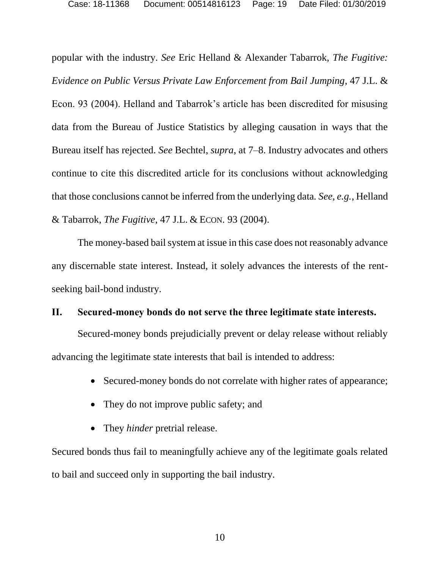<span id="page-18-1"></span><span id="page-18-0"></span>popular with the industry. *See* Eric Helland & Alexander Tabarrok, *The Fugitive: Evidence on Public Versus Private Law Enforcement from Bail Jumping*, 47 J.L. & Econ. 93 (2004). Helland and Tabarrok's article has been discredited for misusing data from the Bureau of Justice Statistics by alleging causation in ways that the Bureau itself has rejected. *See* Bechtel, *supra*, at 7–8. Industry advocates and others continue to cite this discredited article for its conclusions without acknowledging that those conclusions cannot be inferred from the underlying data. *See, e.g.*, Helland & Tabarrok, *The Fugitive*, 47 J.L. & ECON. 93 (2004).

The money-based bail system at issue in this case does not reasonably advance any discernable state interest. Instead, it solely advances the interests of the rentseeking bail-bond industry.

### **II. Secured-money bonds do not serve the three legitimate state interests.**

Secured-money bonds prejudicially prevent or delay release without reliably advancing the legitimate state interests that bail is intended to address:

- Secured-money bonds do not correlate with higher rates of appearance;
- They do not improve public safety; and
- They *hinder* pretrial release.

Secured bonds thus fail to meaningfully achieve any of the legitimate goals related to bail and succeed only in supporting the bail industry.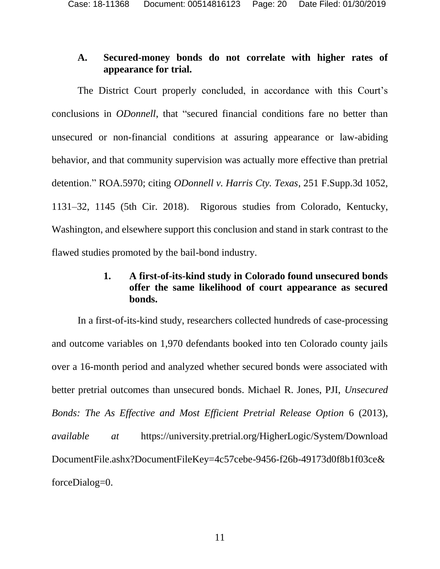## **A. Secured-money bonds do not correlate with higher rates of appearance for trial.**

The District Court properly concluded, in accordance with this Court's conclusions in *ODonnell*, that "secured financial conditions fare no better than unsecured or non-financial conditions at assuring appearance or law-abiding behavior, and that community supervision was actually more effective than pretrial detention." ROA.5970; citing *ODonnell v. Harris Cty. Texas*, 251 F.Supp.3d 1052, 1131–32, 1145 (5th Cir. 2018). Rigorous studies from Colorado, Kentucky, Washington, and elsewhere support this conclusion and stand in stark contrast to the flawed studies promoted by the bail-bond industry.

## <span id="page-19-0"></span>**1. A first-of-its-kind study in Colorado found unsecured bonds offer the same likelihood of court appearance as secured bonds.**

In a first-of-its-kind study, researchers collected hundreds of case-processing and outcome variables on 1,970 defendants booked into ten Colorado county jails over a 16-month period and analyzed whether secured bonds were associated with better pretrial outcomes than unsecured bonds. Michael R. Jones, PJI, *Unsecured Bonds: The As Effective and Most Efficient Pretrial Release Option* 6 (2013), *available at* https://university.pretrial.org/HigherLogic/System/Download DocumentFile.ashx?DocumentFileKey=4c57cebe-9456-f26b-49173d0f8b1f03ce& forceDialog=0.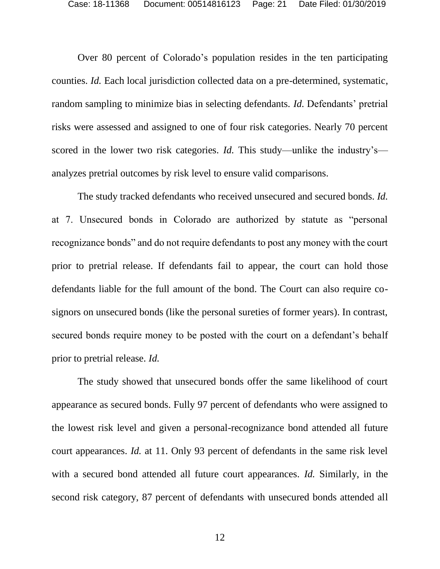Over 80 percent of Colorado's population resides in the ten participating counties. *Id.* Each local jurisdiction collected data on a pre-determined, systematic, random sampling to minimize bias in selecting defendants. *Id.* Defendants' pretrial risks were assessed and assigned to one of four risk categories. Nearly 70 percent scored in the lower two risk categories. *Id.* This study—unlike the industry's analyzes pretrial outcomes by risk level to ensure valid comparisons.

The study tracked defendants who received unsecured and secured bonds. *Id.* at 7. Unsecured bonds in Colorado are authorized by statute as "personal recognizance bonds" and do not require defendants to post any money with the court prior to pretrial release. If defendants fail to appear, the court can hold those defendants liable for the full amount of the bond. The Court can also require cosignors on unsecured bonds (like the personal sureties of former years). In contrast, secured bonds require money to be posted with the court on a defendant's behalf prior to pretrial release. *Id.*

The study showed that unsecured bonds offer the same likelihood of court appearance as secured bonds. Fully 97 percent of defendants who were assigned to the lowest risk level and given a personal-recognizance bond attended all future court appearances. *Id.* at 11. Only 93 percent of defendants in the same risk level with a secured bond attended all future court appearances. *Id.* Similarly, in the second risk category, 87 percent of defendants with unsecured bonds attended all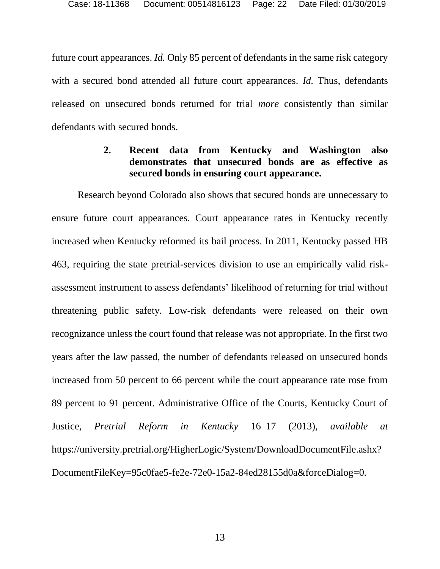future court appearances. *Id.* Only 85 percent of defendants in the same risk category with a secured bond attended all future court appearances. *Id.* Thus, defendants released on unsecured bonds returned for trial *more* consistently than similar defendants with secured bonds.

## **2. Recent data from Kentucky and Washington also demonstrates that unsecured bonds are as effective as secured bonds in ensuring court appearance.**

<span id="page-21-0"></span>Research beyond Colorado also shows that secured bonds are unnecessary to ensure future court appearances. Court appearance rates in Kentucky recently increased when Kentucky reformed its bail process. In 2011, Kentucky passed HB 463, requiring the state pretrial-services division to use an empirically valid riskassessment instrument to assess defendants' likelihood of returning for trial without threatening public safety. Low-risk defendants were released on their own recognizance unless the court found that release was not appropriate. In the first two years after the law passed, the number of defendants released on unsecured bonds increased from 50 percent to 66 percent while the court appearance rate rose from 89 percent to 91 percent. Administrative Office of the Courts, Kentucky Court of Justice, *Pretrial Reform in Kentucky* 16–17 (2013), *available at* https://university.pretrial.org/HigherLogic/System/DownloadDocumentFile.ashx? DocumentFileKey=95c0fae5-fe2e-72e0-15a2-84ed28155d0a&forceDialog=0*.*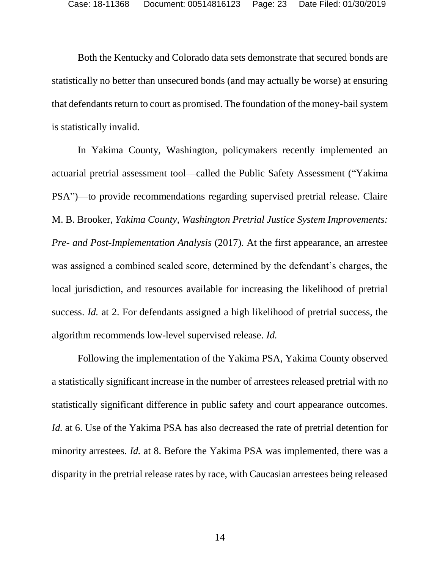Both the Kentucky and Colorado data sets demonstrate that secured bonds are statistically no better than unsecured bonds (and may actually be worse) at ensuring that defendants return to court as promised. The foundation of the money-bail system is statistically invalid.

<span id="page-22-0"></span>In Yakima County, Washington, policymakers recently implemented an actuarial pretrial assessment tool—called the Public Safety Assessment ("Yakima PSA")—to provide recommendations regarding supervised pretrial release. Claire M. B. Brooker, *Yakima County*, *Washington Pretrial Justice System Improvements: Pre- and Post-Implementation Analysis* (2017). At the first appearance, an arrestee was assigned a combined scaled score, determined by the defendant's charges, the local jurisdiction, and resources available for increasing the likelihood of pretrial success. *Id.* at 2. For defendants assigned a high likelihood of pretrial success, the algorithm recommends low-level supervised release. *Id.*

Following the implementation of the Yakima PSA, Yakima County observed a statistically significant increase in the number of arrestees released pretrial with no statistically significant difference in public safety and court appearance outcomes. *Id.* at 6. Use of the Yakima PSA has also decreased the rate of pretrial detention for minority arrestees. *Id.* at 8. Before the Yakima PSA was implemented, there was a disparity in the pretrial release rates by race, with Caucasian arrestees being released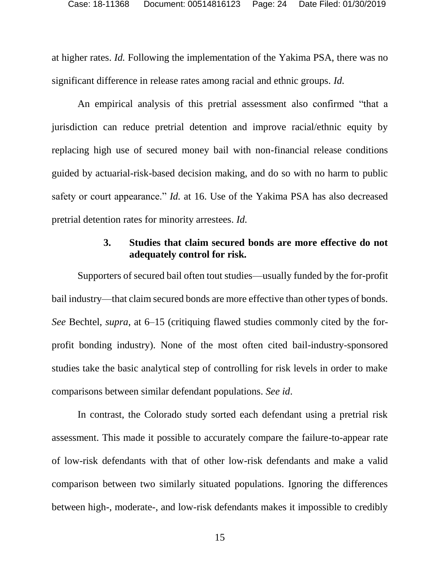at higher rates. *Id.* Following the implementation of the Yakima PSA, there was no significant difference in release rates among racial and ethnic groups. *Id.*

An empirical analysis of this pretrial assessment also confirmed "that a jurisdiction can reduce pretrial detention and improve racial/ethnic equity by replacing high use of secured money bail with non-financial release conditions guided by actuarial-risk-based decision making, and do so with no harm to public safety or court appearance." *Id.* at 16. Use of the Yakima PSA has also decreased pretrial detention rates for minority arrestees. *Id.*

### **3. Studies that claim secured bonds are more effective do not adequately control for risk.**

<span id="page-23-0"></span>Supporters of secured bail often tout studies—usually funded by the for-profit bail industry—that claim secured bonds are more effective than other types of bonds. *See* Bechtel, *supra*, at 6–15 (critiquing flawed studies commonly cited by the forprofit bonding industry). None of the most often cited bail-industry-sponsored studies take the basic analytical step of controlling for risk levels in order to make comparisons between similar defendant populations. *See id*.

In contrast, the Colorado study sorted each defendant using a pretrial risk assessment. This made it possible to accurately compare the failure-to-appear rate of low-risk defendants with that of other low-risk defendants and make a valid comparison between two similarly situated populations. Ignoring the differences between high-, moderate-, and low-risk defendants makes it impossible to credibly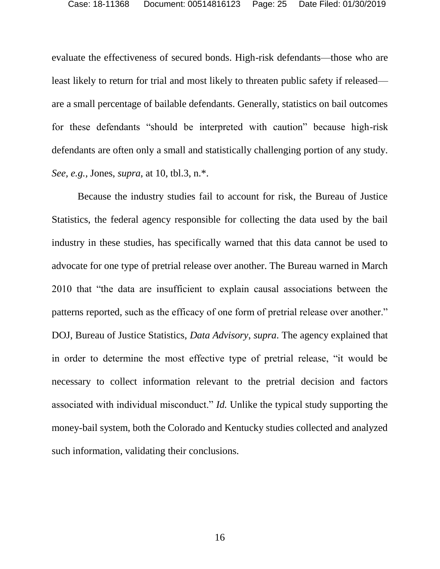evaluate the effectiveness of secured bonds. High-risk defendants—those who are least likely to return for trial and most likely to threaten public safety if released are a small percentage of bailable defendants. Generally, statistics on bail outcomes for these defendants "should be interpreted with caution" because high-risk defendants are often only a small and statistically challenging portion of any study. *See, e.g.,* Jones, *supra*, at 10, tbl.3, n.\*.

<span id="page-24-0"></span>Because the industry studies fail to account for risk, the Bureau of Justice Statistics, the federal agency responsible for collecting the data used by the bail industry in these studies, has specifically warned that this data cannot be used to advocate for one type of pretrial release over another. The Bureau warned in March 2010 that "the data are insufficient to explain causal associations between the patterns reported, such as the efficacy of one form of pretrial release over another." DOJ, Bureau of Justice Statistics, *Data Advisory*, *supra*. The agency explained that in order to determine the most effective type of pretrial release, "it would be necessary to collect information relevant to the pretrial decision and factors associated with individual misconduct." *Id.* Unlike the typical study supporting the money-bail system, both the Colorado and Kentucky studies collected and analyzed such information, validating their conclusions.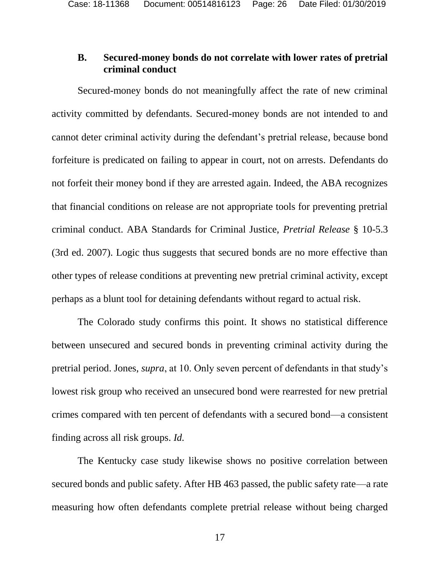### **B. Secured-money bonds do not correlate with lower rates of pretrial criminal conduct**

Secured-money bonds do not meaningfully affect the rate of new criminal activity committed by defendants. Secured-money bonds are not intended to and cannot deter criminal activity during the defendant's pretrial release, because bond forfeiture is predicated on failing to appear in court, not on arrests. Defendants do not forfeit their money bond if they are arrested again. Indeed, the ABA recognizes that financial conditions on release are not appropriate tools for preventing pretrial criminal conduct. ABA Standards for Criminal Justice, *Pretrial Release* § 10-5.3 (3rd ed. 2007). Logic thus suggests that secured bonds are no more effective than other types of release conditions at preventing new pretrial criminal activity, except perhaps as a blunt tool for detaining defendants without regard to actual risk.

<span id="page-25-0"></span>The Colorado study confirms this point. It shows no statistical difference between unsecured and secured bonds in preventing criminal activity during the pretrial period. Jones, *supra*, at 10. Only seven percent of defendants in that study's lowest risk group who received an unsecured bond were rearrested for new pretrial crimes compared with ten percent of defendants with a secured bond—a consistent finding across all risk groups. *Id.*

The Kentucky case study likewise shows no positive correlation between secured bonds and public safety. After HB 463 passed, the public safety rate—a rate measuring how often defendants complete pretrial release without being charged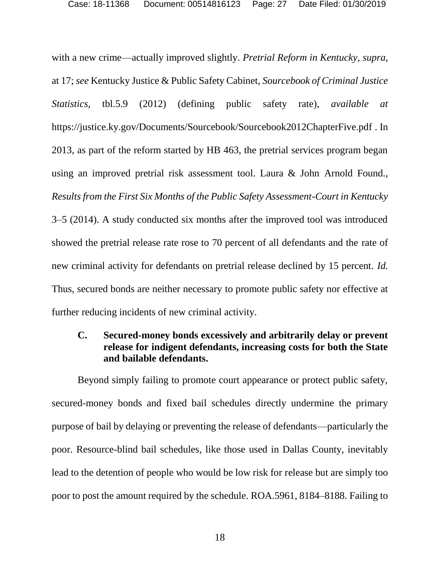<span id="page-26-2"></span><span id="page-26-1"></span><span id="page-26-0"></span>with a new crime—actually improved slightly. *Pretrial Reform in Kentucky*, *supra*, at 17; *see* Kentucky Justice & Public Safety Cabinet, *Sourcebook of Criminal Justice Statistics,* tbl.5.9 (2012) (defining public safety rate), *available at*  https://justice.ky.gov/Documents/Sourcebook/Sourcebook2012ChapterFive.pdf . In 2013, as part of the reform started by HB 463, the pretrial services program began using an improved pretrial risk assessment tool. Laura & John Arnold Found., *Results from the First Six Months of the Public Safety Assessment-Court in Kentucky* 3–5 (2014). A study conducted six months after the improved tool was introduced showed the pretrial release rate rose to 70 percent of all defendants and the rate of new criminal activity for defendants on pretrial release declined by 15 percent. *Id.* Thus, secured bonds are neither necessary to promote public safety nor effective at further reducing incidents of new criminal activity.

### **C. Secured-money bonds excessively and arbitrarily delay or prevent release for indigent defendants, increasing costs for both the State and bailable defendants.**

Beyond simply failing to promote court appearance or protect public safety, secured-money bonds and fixed bail schedules directly undermine the primary purpose of bail by delaying or preventing the release of defendants—particularly the poor. Resource-blind bail schedules, like those used in Dallas County, inevitably lead to the detention of people who would be low risk for release but are simply too poor to post the amount required by the schedule. ROA.5961, 8184–8188. Failing to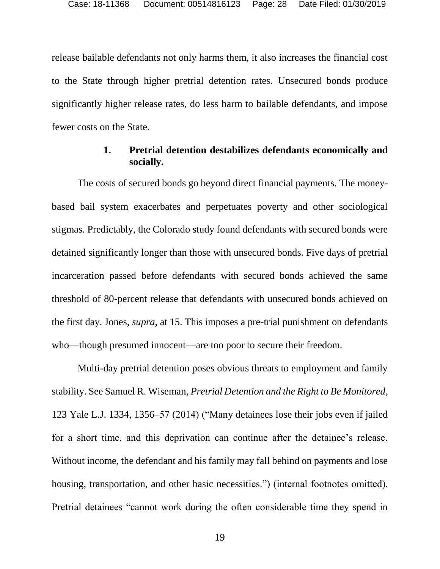release bailable defendants not only harms them, it also increases the financial cost to the State through higher pretrial detention rates. Unsecured bonds produce significantly higher release rates, do less harm to bailable defendants, and impose fewer costs on the State.

### **1. Pretrial detention destabilizes defendants economically and socially.**

The costs of secured bonds go beyond direct financial payments. The moneybased bail system exacerbates and perpetuates poverty and other sociological stigmas. Predictably, the Colorado study found defendants with secured bonds were detained significantly longer than those with unsecured bonds. Five days of pretrial incarceration passed before defendants with secured bonds achieved the same threshold of 80-percent release that defendants with unsecured bonds achieved on the first day. Jones, *supra*, at 15. This imposes a pre-trial punishment on defendants who—though presumed innocent—are too poor to secure their freedom.

<span id="page-27-0"></span>Multi-day pretrial detention poses obvious threats to employment and family stability. See Samuel R. Wiseman, *Pretrial Detention and the Right to Be Monitored*, 123 Yale L.J. 1334, 1356–57 (2014) ("Many detainees lose their jobs even if jailed for a short time, and this deprivation can continue after the detainee's release. Without income, the defendant and his family may fall behind on payments and lose housing, transportation, and other basic necessities.") (internal footnotes omitted). Pretrial detainees "cannot work during the often considerable time they spend in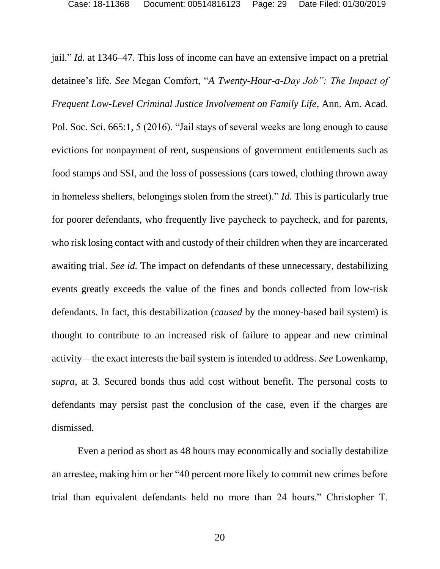<span id="page-28-0"></span>jail." *Id.* at 1346–47. This loss of income can have an extensive impact on a pretrial detainee's life. *See* Megan Comfort, "*A Twenty-Hour-a-Day Job": The Impact of Frequent Low-Level Criminal Justice Involvement on Family Life*, Ann. Am. Acad. Pol. Soc. Sci. 665:1, 5 (2016). "Jail stays of several weeks are long enough to cause evictions for nonpayment of rent, suspensions of government entitlements such as food stamps and SSI, and the loss of possessions (cars towed, clothing thrown away in homeless shelters, belongings stolen from the street)." *Id.* This is particularly true for poorer defendants, who frequently live paycheck to paycheck, and for parents, who risk losing contact with and custody of their children when they are incarcerated awaiting trial. *See id.* The impact on defendants of these unnecessary, destabilizing events greatly exceeds the value of the fines and bonds collected from low-risk defendants. In fact, this destabilization (*caused* by the money-based bail system) is thought to contribute to an increased risk of failure to appear and new criminal activity—the exact interests the bail system is intended to address. *See* Lowenkamp, *supra*, at 3. Secured bonds thus add cost without benefit. The personal costs to defendants may persist past the conclusion of the case, even if the charges are dismissed.

Even a period as short as 48 hours may economically and socially destabilize an arrestee, making him or her "40 percent more likely to commit new crimes before trial than equivalent defendants held no more than 24 hours." Christopher T.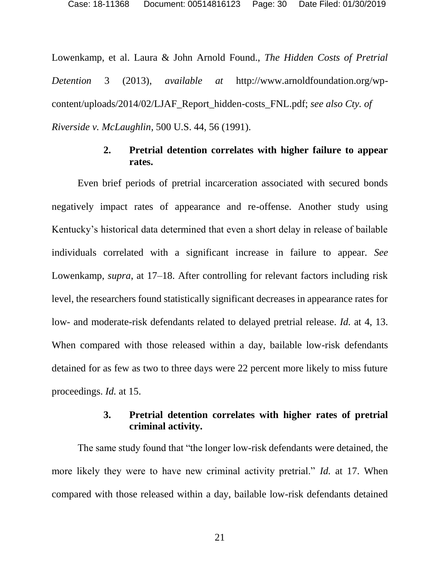Lowenkamp, et al. Laura & John Arnold Found., *The Hidden Costs of Pretrial Detention* 3 (2013), *available at* http://www.arnoldfoundation.org/wpcontent/uploads/2014/02/LJAF\_Report\_hidden-costs\_FNL.pdf; *see also Cty. of Riverside v. McLaughlin*, 500 U.S. 44, 56 (1991).

#### <span id="page-29-0"></span>**2. Pretrial detention correlates with higher failure to appear rates.**

Even brief periods of pretrial incarceration associated with secured bonds negatively impact rates of appearance and re-offense. Another study using Kentucky's historical data determined that even a short delay in release of bailable individuals correlated with a significant increase in failure to appear. *See*  Lowenkamp, *supra*, at 17–18. After controlling for relevant factors including risk level, the researchers found statistically significant decreases in appearance rates for low- and moderate-risk defendants related to delayed pretrial release. *Id.* at 4, 13. When compared with those released within a day, bailable low-risk defendants detained for as few as two to three days were 22 percent more likely to miss future proceedings. *Id.* at 15.

#### **3. Pretrial detention correlates with higher rates of pretrial criminal activity.**

The same study found that "the longer low-risk defendants were detained, the more likely they were to have new criminal activity pretrial." *Id.* at 17. When compared with those released within a day, bailable low-risk defendants detained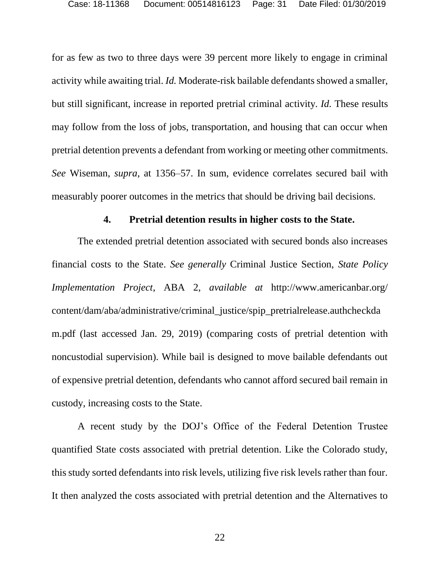for as few as two to three days were 39 percent more likely to engage in criminal activity while awaiting trial. *Id.* Moderate-risk bailable defendants showed a smaller, but still significant, increase in reported pretrial criminal activity. *Id.* These results may follow from the loss of jobs, transportation, and housing that can occur when pretrial detention prevents a defendant from working or meeting other commitments. *See* Wiseman, *supra*, at 1356–57. In sum, evidence correlates secured bail with measurably poorer outcomes in the metrics that should be driving bail decisions.

#### <span id="page-30-1"></span><span id="page-30-0"></span>**4. Pretrial detention results in higher costs to the State.**

The extended pretrial detention associated with secured bonds also increases financial costs to the State. *See generally* Criminal Justice Section, *State Policy Implementation Project*, ABA 2, *available at* http://www.americanbar.org/ content/dam/aba/administrative/criminal\_justice/spip\_pretrialrelease.authcheckda m.pdf (last accessed Jan. 29, 2019) (comparing costs of pretrial detention with noncustodial supervision). While bail is designed to move bailable defendants out of expensive pretrial detention, defendants who cannot afford secured bail remain in custody, increasing costs to the State.

A recent study by the DOJ's Office of the Federal Detention Trustee quantified State costs associated with pretrial detention. Like the Colorado study, this study sorted defendants into risk levels, utilizing five risk levels rather than four. It then analyzed the costs associated with pretrial detention and the Alternatives to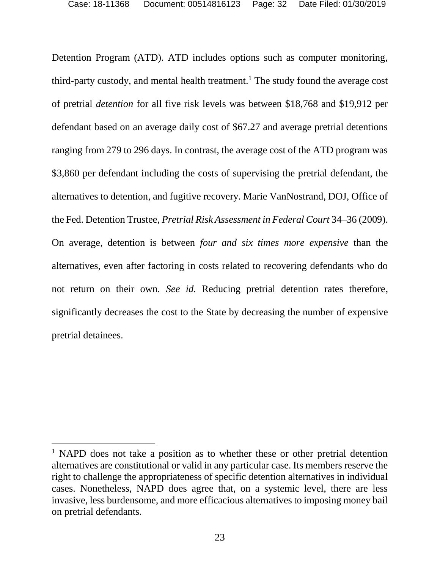<span id="page-31-0"></span>Detention Program (ATD). ATD includes options such as computer monitoring, third-party custody, and mental health treatment.<sup>1</sup> The study found the average cost of pretrial *detention* for all five risk levels was between \$18,768 and \$19,912 per defendant based on an average daily cost of \$67.27 and average pretrial detentions ranging from 279 to 296 days. In contrast, the average cost of the ATD program was \$3,860 per defendant including the costs of supervising the pretrial defendant, the alternatives to detention, and fugitive recovery. Marie VanNostrand, DOJ, Office of the Fed. Detention Trustee, *Pretrial Risk Assessment in Federal Court* 34–36 (2009). On average, detention is between *four and six times more expensive* than the alternatives, even after factoring in costs related to recovering defendants who do not return on their own. *See id.* Reducing pretrial detention rates therefore, significantly decreases the cost to the State by decreasing the number of expensive pretrial detainees.

l

<sup>&</sup>lt;sup>1</sup> NAPD does not take a position as to whether these or other pretrial detention alternatives are constitutional or valid in any particular case. Its members reserve the right to challenge the appropriateness of specific detention alternatives in individual cases. Nonetheless, NAPD does agree that, on a systemic level, there are less invasive, less burdensome, and more efficacious alternatives to imposing money bail on pretrial defendants.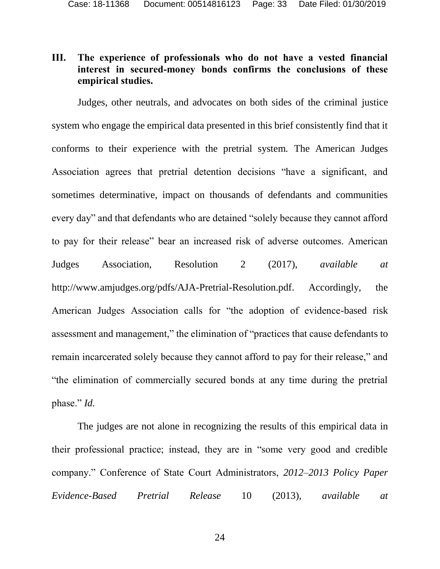## **III. The experience of professionals who do not have a vested financial interest in secured-money bonds confirms the conclusions of these empirical studies.**

Judges, other neutrals, and advocates on both sides of the criminal justice system who engage the empirical data presented in this brief consistently find that it conforms to their experience with the pretrial system. The American Judges Association agrees that pretrial detention decisions "have a significant, and sometimes determinative, impact on thousands of defendants and communities every day" and that defendants who are detained "solely because they cannot afford to pay for their release" bear an increased risk of adverse outcomes. American Judges Association, Resolution 2 (2017), *available at* http://www.amjudges.org/pdfs/AJA-Pretrial-Resolution.pdf. Accordingly, the American Judges Association calls for "the adoption of evidence-based risk assessment and management," the elimination of "practices that cause defendants to remain incarcerated solely because they cannot afford to pay for their release," and "the elimination of commercially secured bonds at any time during the pretrial phase." *Id.*

<span id="page-32-0"></span>The judges are not alone in recognizing the results of this empirical data in their professional practice; instead, they are in "some very good and credible company." Conference of State Court Administrators, *2012–2013 Policy Paper Evidence-Based Pretrial Release* 10 (2013), *available at*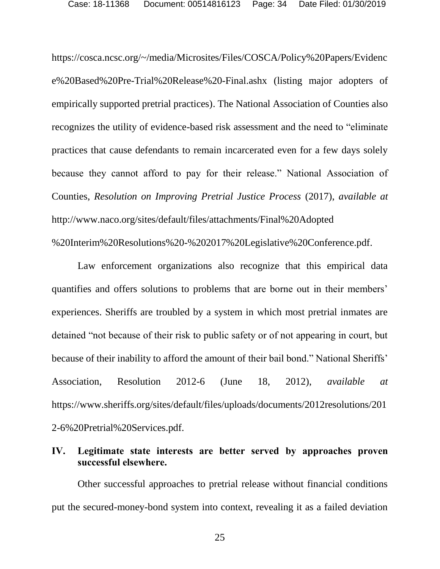https://cosca.ncsc.org/~/media/Microsites/Files/COSCA/Policy%20Papers/Evidenc e%20Based%20Pre-Trial%20Release%20-Final.ashx (listing major adopters of empirically supported pretrial practices). The National Association of Counties also recognizes the utility of evidence-based risk assessment and the need to "eliminate practices that cause defendants to remain incarcerated even for a few days solely because they cannot afford to pay for their release." National Association of Counties, *Resolution on Improving Pretrial Justice Process* (2017), *available at*  http://www.naco.org/sites/default/files/attachments/Final%20Adopted %20Interim%20Resolutions%20-%202017%20Legislative%20Conference.pdf.

<span id="page-33-1"></span><span id="page-33-0"></span>Law enforcement organizations also recognize that this empirical data quantifies and offers solutions to problems that are borne out in their members' experiences. Sheriffs are troubled by a system in which most pretrial inmates are detained "not because of their risk to public safety or of not appearing in court, but because of their inability to afford the amount of their bail bond." National Sheriffs' Association, Resolution 2012-6 (June 18, 2012), *available at*  https://www.sheriffs.org/sites/default/files/uploads/documents/2012resolutions/201 2-6%20Pretrial%20Services.pdf.

### **IV. Legitimate state interests are better served by approaches proven successful elsewhere.**

Other successful approaches to pretrial release without financial conditions put the secured-money-bond system into context, revealing it as a failed deviation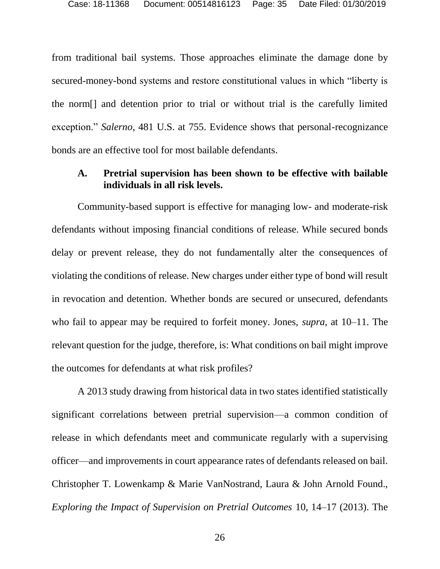from traditional bail systems. Those approaches eliminate the damage done by secured-money-bond systems and restore constitutional values in which "liberty is the norm[] and detention prior to trial or without trial is the carefully limited exception." *Salerno*, 481 U.S. at 755. Evidence shows that personal-recognizance bonds are an effective tool for most bailable defendants.

### <span id="page-34-0"></span>**A. Pretrial supervision has been shown to be effective with bailable individuals in all risk levels.**

Community-based support is effective for managing low- and moderate-risk defendants without imposing financial conditions of release. While secured bonds delay or prevent release, they do not fundamentally alter the consequences of violating the conditions of release. New charges under either type of bond will result in revocation and detention. Whether bonds are secured or unsecured, defendants who fail to appear may be required to forfeit money. Jones, *supra*, at 10–11. The relevant question for the judge, therefore, is: What conditions on bail might improve the outcomes for defendants at what risk profiles?

<span id="page-34-1"></span>A 2013 study drawing from historical data in two states identified statistically significant correlations between pretrial supervision—a common condition of release in which defendants meet and communicate regularly with a supervising officer—and improvements in court appearance rates of defendants released on bail. Christopher T. Lowenkamp & Marie VanNostrand, Laura & John Arnold Found., *Exploring the Impact of Supervision on Pretrial Outcomes* 10, 14–17 (2013). The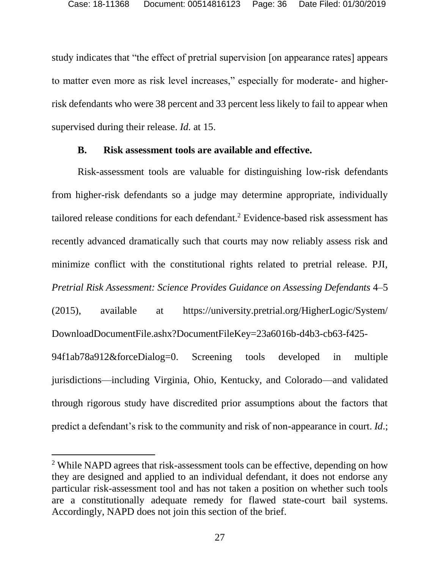study indicates that "the effect of pretrial supervision [on appearance rates] appears to matter even more as risk level increases," especially for moderate- and higherrisk defendants who were 38 percent and 33 percent less likely to fail to appear when supervised during their release. *Id.* at 15.

#### <span id="page-35-0"></span>**B. Risk assessment tools are available and effective.**

Risk-assessment tools are valuable for distinguishing low-risk defendants from higher-risk defendants so a judge may determine appropriate, individually tailored release conditions for each defendant.<sup>2</sup> Evidence-based risk assessment has recently advanced dramatically such that courts may now reliably assess risk and minimize conflict with the constitutional rights related to pretrial release. PJI, *Pretrial Risk Assessment: Science Provides Guidance on Assessing Defendants* 4–5

(2015), available at https://university.pretrial.org/HigherLogic/System/ DownloadDocumentFile.ashx?DocumentFileKey=23a6016b-d4b3-cb63-f425-

94f1ab78a912&forceDialog=0. Screening tools developed in multiple jurisdictions—including Virginia, Ohio, Kentucky, and Colorado—and validated through rigorous study have discredited prior assumptions about the factors that predict a defendant's risk to the community and risk of non-appearance in court. *Id*.;

 $\overline{a}$ 

<sup>&</sup>lt;sup>2</sup> While NAPD agrees that risk-assessment tools can be effective, depending on how they are designed and applied to an individual defendant, it does not endorse any particular risk-assessment tool and has not taken a position on whether such tools are a constitutionally adequate remedy for flawed state-court bail systems. Accordingly, NAPD does not join this section of the brief.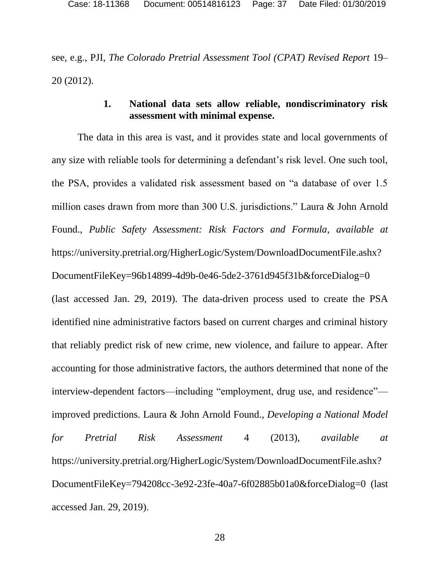<span id="page-36-1"></span>see, e.g., PJI, *The Colorado Pretrial Assessment Tool (CPAT) Revised Report* 19– 20 (2012).

## **1. National data sets allow reliable, nondiscriminatory risk assessment with minimal expense.**

<span id="page-36-0"></span>The data in this area is vast, and it provides state and local governments of any size with reliable tools for determining a defendant's risk level. One such tool, the PSA, provides a validated risk assessment based on "a database of over 1.5 million cases drawn from more than 300 U.S. jurisdictions." Laura & John Arnold Found., *Public Safety Assessment: Risk Factors and Formula*, *available at* https://university.pretrial.org/HigherLogic/System/DownloadDocumentFile.ashx? DocumentFileKey=96b14899-4d9b-0e46-5de2-3761d945f31b&forceDialog=0 (last accessed Jan. 29, 2019). The data-driven process used to create the PSA identified nine administrative factors based on current charges and criminal history that reliably predict risk of new crime, new violence, and failure to appear. After accounting for those administrative factors, the authors determined that none of the interview-dependent factors—including "employment, drug use, and residence" improved predictions. Laura & John Arnold Found., *Developing a National Model for Pretrial Risk Assessment* 4 (2013), *available at* https://university.pretrial.org/HigherLogic/System/DownloadDocumentFile.ashx? DocumentFileKey=794208cc-3e92-23fe-40a7-6f02885b01a0&forceDialog=0 (last accessed Jan. 29, 2019).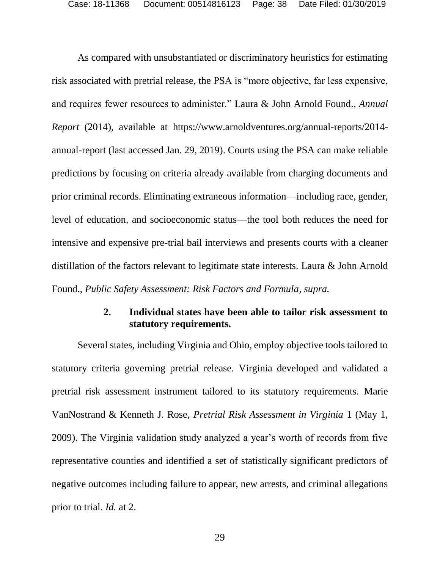As compared with unsubstantiated or discriminatory heuristics for estimating risk associated with pretrial release, the PSA is "more objective, far less expensive, and requires fewer resources to administer." Laura & John Arnold Found., *Annual Report* (2014), available at https://www.arnoldventures.org/annual-reports/2014 annual-report (last accessed Jan. 29, 2019). Courts using the PSA can make reliable predictions by focusing on criteria already available from charging documents and prior criminal records. Eliminating extraneous information—including race, gender, level of education, and socioeconomic status—the tool both reduces the need for intensive and expensive pre-trial bail interviews and presents courts with a cleaner distillation of the factors relevant to legitimate state interests. Laura & John Arnold Found., *Public Safety Assessment: Risk Factors and Formula*, *supra.*

### <span id="page-37-0"></span>**2. Individual states have been able to tailor risk assessment to statutory requirements.**

Several states, including Virginia and Ohio, employ objective tools tailored to statutory criteria governing pretrial release. Virginia developed and validated a pretrial risk assessment instrument tailored to its statutory requirements. Marie VanNostrand & Kenneth J. Rose, *Pretrial Risk Assessment in Virginia* 1 (May 1, 2009). The Virginia validation study analyzed a year's worth of records from five representative counties and identified a set of statistically significant predictors of negative outcomes including failure to appear, new arrests, and criminal allegations prior to trial. *Id.* at 2.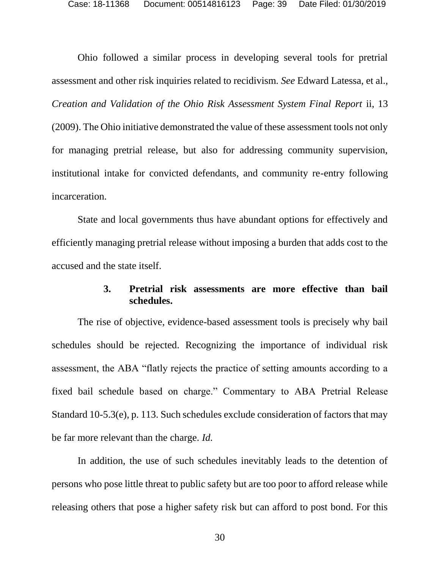Ohio followed a similar process in developing several tools for pretrial assessment and other risk inquiries related to recidivism. *See* Edward Latessa, et al., *Creation and Validation of the Ohio Risk Assessment System Final Report* ii, 13 (2009). The Ohio initiative demonstrated the value of these assessment tools not only for managing pretrial release, but also for addressing community supervision, institutional intake for convicted defendants, and community re-entry following incarceration.

State and local governments thus have abundant options for effectively and efficiently managing pretrial release without imposing a burden that adds cost to the accused and the state itself.

#### <span id="page-38-0"></span>**3. Pretrial risk assessments are more effective than bail schedules.**

The rise of objective, evidence-based assessment tools is precisely why bail schedules should be rejected. Recognizing the importance of individual risk assessment, the ABA "flatly rejects the practice of setting amounts according to a fixed bail schedule based on charge." Commentary to ABA Pretrial Release Standard 10-5.3(e), p. 113. Such schedules exclude consideration of factors that may be far more relevant than the charge. *Id.*

In addition, the use of such schedules inevitably leads to the detention of persons who pose little threat to public safety but are too poor to afford release while releasing others that pose a higher safety risk but can afford to post bond. For this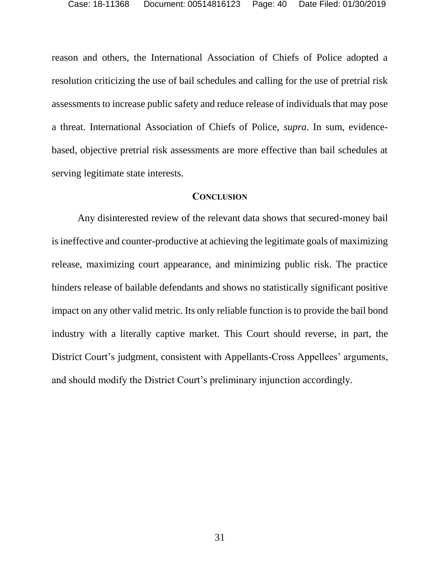reason and others, the International Association of Chiefs of Police adopted a resolution criticizing the use of bail schedules and calling for the use of pretrial risk assessments to increase public safety and reduce release of individuals that may pose a threat. International Association of Chiefs of Police, *supra*. In sum, evidencebased, objective pretrial risk assessments are more effective than bail schedules at serving legitimate state interests.

#### **CONCLUSION**

Any disinterested review of the relevant data shows that secured-money bail is ineffective and counter-productive at achieving the legitimate goals of maximizing release, maximizing court appearance, and minimizing public risk. The practice hinders release of bailable defendants and shows no statistically significant positive impact on any other valid metric. Its only reliable function is to provide the bail bond industry with a literally captive market. This Court should reverse, in part, the District Court's judgment, consistent with Appellants-Cross Appellees' arguments, and should modify the District Court's preliminary injunction accordingly.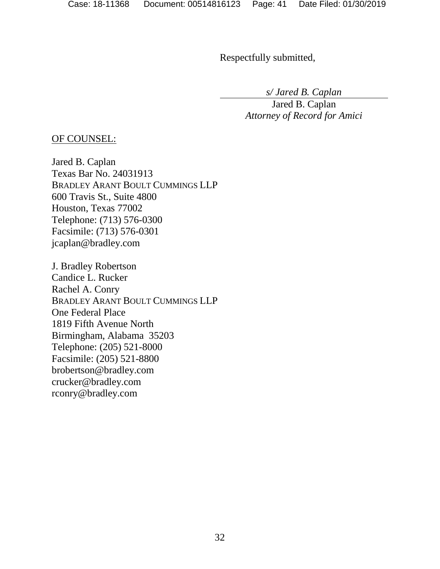Respectfully submitted,

*s/ Jared B. Caplan*

Jared B. Caplan *Attorney of Record for Amici*

## OF COUNSEL:

Jared B. Caplan Texas Bar No. 24031913 BRADLEY ARANT BOULT CUMMINGS LLP 600 Travis St., Suite 4800 Houston, Texas 77002 Telephone: (713) 576-0300 Facsimile: (713) 576-0301 jcaplan@bradley.com

J. Bradley Robertson Candice L. Rucker Rachel A. Conry BRADLEY ARANT BOULT CUMMINGS LLP One Federal Place 1819 Fifth Avenue North Birmingham, Alabama 35203 Telephone: (205) 521-8000 Facsimile: (205) 521-8800 brobertson@bradley.com crucker@bradley.com rconry@bradley.com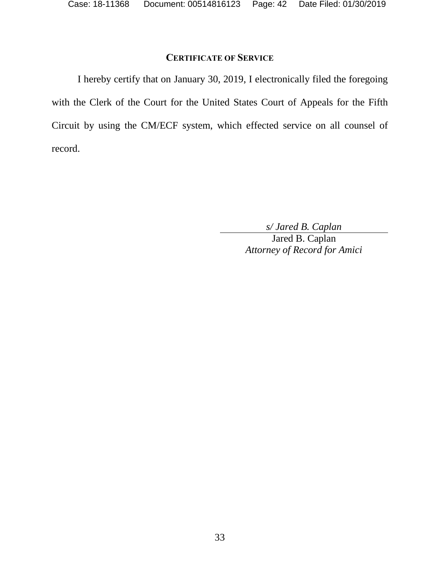## **CERTIFICATE OF SERVICE**

I hereby certify that on January 30, 2019, I electronically filed the foregoing with the Clerk of the Court for the United States Court of Appeals for the Fifth Circuit by using the CM/ECF system, which effected service on all counsel of record.

*s/ Jared B. Caplan*

Jared B. Caplan *Attorney of Record for Amici*